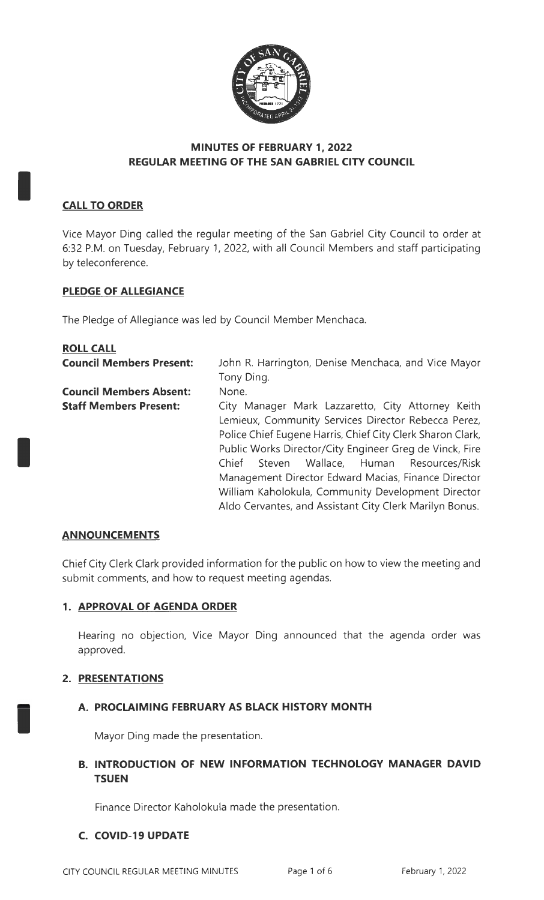

## **MINUTES OF FEBRUARY 1, 2022 REGULAR MEETING OF THE SAN GABRIEL CITY COUNCIL**

# **CALL TO ORDER**

I

I

I

Vice Mayor Ding called the regular meeting of the San Gabriel City Council to order at 6:32 P.M. on Tuesday, February 1, 2022, with all Council Members and staff participating by teleconference.

## **PLEDGE OF ALLEGIANCE**

The Pledge of Allegiance was led by Council Member Menchaca.

| <b>ROLL CALL</b>                |                                                            |
|---------------------------------|------------------------------------------------------------|
| <b>Council Members Present:</b> | John R. Harrington, Denise Menchaca, and Vice Mayor        |
|                                 | Tony Ding.                                                 |
| <b>Council Members Absent:</b>  | None.                                                      |
| <b>Staff Members Present:</b>   | City Manager Mark Lazzaretto, City Attorney Keith          |
|                                 | Lemieux, Community Services Director Rebecca Perez,        |
|                                 | Police Chief Eugene Harris, Chief City Clerk Sharon Clark, |
|                                 | Public Works Director/City Engineer Greg de Vinck, Fire    |
|                                 | Steven Wallace, Human Resources/Risk<br>Chief              |
|                                 | Management Director Edward Macias, Finance Director        |
|                                 | William Kaholokula, Community Development Director         |
|                                 | Aldo Cervantes, and Assistant City Clerk Marilyn Bonus.    |

#### **AN NOU NCEM ENTS**

Chief City Clerk Clark provided information for the public on how to view the meeting and submit comments, and how to request meeting agendas.

#### **1. APPROVAL OF AGENDA ORDER**

Hearing no objection, Vice Mayor Ding announced that the agenda order was approved.

#### **2. PRESENTATIONS**

#### **A. PROCLAIMING FEBRUARY AS BLACK HISTORY MONTH**

Mayor Ding made the presentation.

## **B. INTRODUCTION OF NEW INFORMATION TECHNOLOGY MANAGER DAVID TSUEN**

Finance Director Kaholokula made the presentation.

#### **C. COVID-19 UPDATE**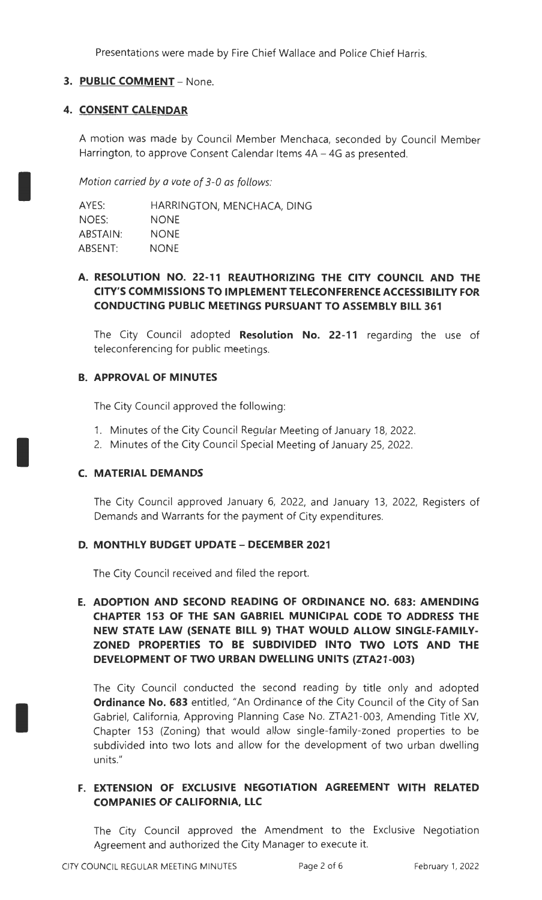Presentations were made by Fire Chief Wallace and Police Chief Harris.

## **3. PUBLIC COMMENT** - None.

#### **4. CONSENT CALENDAR**

A motion was made by Council Member Menchaca, seconded by Council Member Harrington, to approve Consent Calendar Items 4A - 4G as presented.

Motion carried by a vote of 3-0 as follows:

AYES: NOES: ABSTAIN: ABSENT: HARRINGTON, MENCHACA, DING NONE NONE NONE

### **A. RESOLUTION NO. 22-11 REAUTHORIZING THE CITY COUNCIL AND THE CITY'S COMMISSIONS TO IMPLEMENT TELECONFERENCE ACCESSIBILITY FOR CONDUCTING PUBLIC MEETINGS PURSUANT TO ASSEMBLY BILL 361**

The City Council adopted **Resolution No. 22-11** regarding the use of teleconferencing for public meetings.

### **B. APPROVAL OF MINUTES**

The City Council approved the following:

- 1. Minutes of the City Council Regular Meeting of January 18, 2022.
- 2. Minutes of the City Council Special Meeting of January 25, 2022.

## **C. MATERIAL DEMANDS**

I

I

The City Council approved January 6, 2022, and January 13, 2022, Registers of Demands and Warrants for the payment of City expenditures.

## **D. MONTHLY BUDGET UPDATE - DECEMBER 2021**

The City Council received and filed the report.

## **E. ADOPTION AND SECOND READING OF ORDINANCE NO. 683: AMENDING CHAPTER 153 OF THE SAN GABRIEL MUNICIPAL CODE TO ADDRESS THE NEW STATE LAW (SENATE BILL 9) THAT WOULD ALLOW SINGLE-FAMILY-ZONED PROPERTIES TO BE SUBDIVIDED INTO TWO LOTS AND THE DEVELOPMENT OF TWO URBAN DWELLING UNITS (ZTA21-003)**

The City Council conducted the second reading by title only and adopted **Ordinance No. 683** entitled, "An Ordinance of the City Council of the City of San Gabriel, California, Approving Planning Case No. ZTA21-003, Amending Title XV, Chapter 153 (Zoning) that would allow single-family-zoned properties to be subdivided into two lots and allow for the development of two urban dwelling units."

# **F. EXTENSION OF EXCLUSIVE NEGOTIATION AGREEMENT WITH RELATED COMPANIES OF CALIFORNIA, LLC**

The City Council approved the Amendment to the Exclusive Negotiation Agreement and authorized the City Manager to execute it.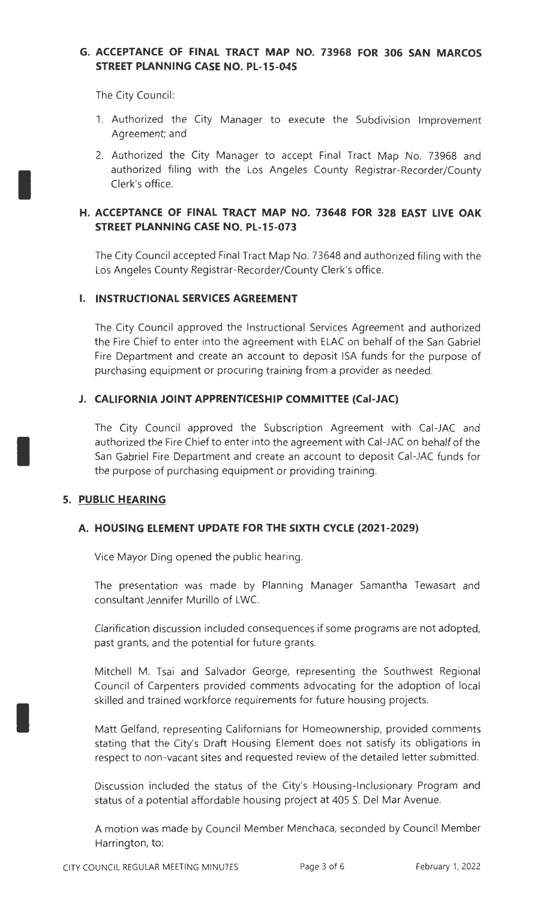## **G. ACCEPTANCE OF FINAL TRACT MAP NO. 73968 FOR 306 SAN MARCOS STREET PLANNING CASE NO. PL-15-045**

The City Council:

I

I

I

- 1. Authorized the City Manager to execute the Subdivision Improvement Agreement; and
- 2. Authorized the City Manager to accept Final Tract Map No. 73968 and authorized filing with the Los Angeles County Registrar-Recorder/County Clerk's office.

### **H. ACCEPTANCE OF FINAL TRACT MAP NO. 73648 FOR 328 EAST LIVE OAK STREET PLANNING CASE NO. PL-15-073**

The City Council accepted Final Tract Map No. 73648 and authorized filing with the Los Angeles County Registrar-Recorder/County Clerk's office.

### I. **INSTRUCTIONAL SERVICES AGREEMENT**

The City Council approved the Instructional Services Agreement and authorized the Fire Chief to enter into the agreement with ELAC on behalf of the San Gabriel Fire Department and create an account to deposit ISA funds for the purpose of purchasing equipment or procuring training from a provider as needed.

### **J. CALIFORNIA JOINT APPRENTICESHIP COMMITTEE (Cal-JAC)**

The City Council approved the Subscription Agreement with Cal-JAC and authorized the Fire Chief to enter into the agreement with Cal-JAC on behalf of the San Gabriel Fire Department and create an account to deposit Cal-JAC funds for the purpose of purchasing equipment or providing training.

#### **5. PUBLIC HEARING**

#### **A. HOUSING ELEMENT UPDATE FOR THE SIXTH CYCLE (2021-2029)**

Vice Mayor Ding opened the public hearing.

The presentation was made by Planning Manager Samantha Tewasart and consultant Jennifer Murillo of LWC.

Clarification discussion included consequences if some programs are not adopted, past grants, and the potential for future grants.

Mitchell M. Tsai and Salvador George, representing the Southwest Regional Council of Carpenters provided comments advocating for the adoption of local skilled and trained workforce requirements for future housing projects.

Matt Gelfand, representing Californians for Homeownership, provided comments stating that the City's Draft Housing Element does not satisfy its obligations in respect to non-vacant sites and requested review of the detailed letter submitted.

Discussion included the status of the City's Housing-lnclusionary Program and status of a potential affordable housing project at 405 S. Del Mar Avenue.

A motion was made by Council Member Menchaca, seconded by Council Member Harrington, to: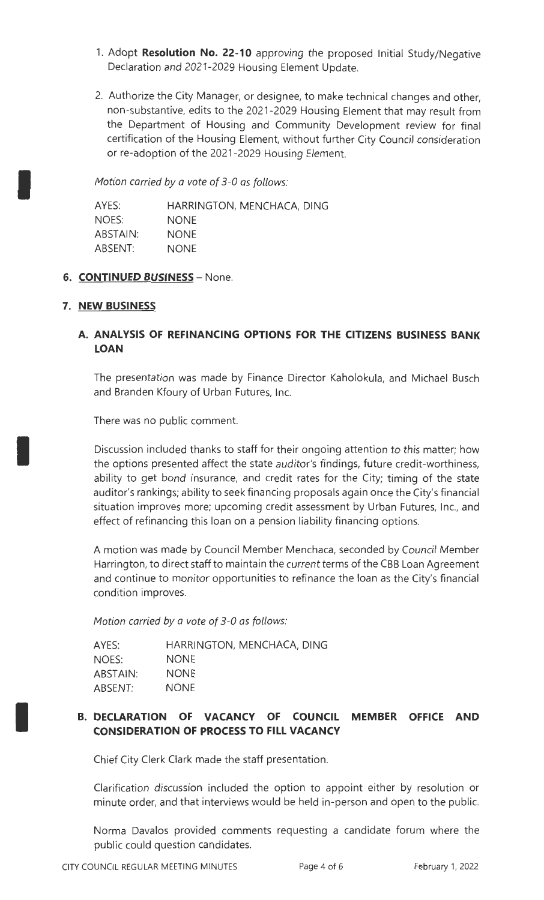- 1. Adopt **Resolution No. 22-10** approving the proposed Initial Study/Negative Declaration and 2021-2029 Housing Element Update.
- 2. Authorize the City Manager, or designee, to make technical changes and other, non-substantive, edits to the 2021-2029 Housing Element that may result from the Department of Housing and Community Development review for final certification of the Housing Element, without further City Council consideration or re-adoption of the 2021 -2029 Housing Element.

Motion carried by a vote of 3-0 as follows:

AYES: NOES: ABSTAIN: ABSENT: HARRINGTON, MENCHACA, DING NONE NONE NONE

### 6. **CONTINUED BUSINESS** - None.

### **7. NEW BUSINESS**

I

I

I

# **A. ANALYSIS OF REFINANCING OPTIONS FOR THE CITIZENS BUSINESS BANK LOAN**

The presentation was made by Finance Director Kaholokula, and Michael Busch and Branden Kfoury of Urban Futures, Inc.

There was no public comment.

Discussion included thanks to staff for their ongoing attention to this matter; how the options presented affect the state auditor's findings, future credit-worthiness, ability to get bond insurance, and credit rates for the City; timing of the state auditor's rankings; ability to seek financing proposals again once the City's financial situation improves more; upcoming credit assessment by Urban Futures, Inc., and effect of refinancing this loan on a pension liability financing options.

A motion was made by Council Member Menchaca, seconded by Council Member Harrington, to direct staff to maintain the current terms of the CBB Loan Agreement and continue to monitor opportunities to refinance the loan as the City's financial condition improves.

Motion carried by a vote of 3-0 as follows:

| AYES:    | HARRINGTON, MENCHACA, DING |
|----------|----------------------------|
| NOES:    | <b>NONE</b>                |
| ABSTAIN: | <b>NONE</b>                |
| ABSENT:  | <b>NONE</b>                |

## **B. DECLARATION OF VACANCY OF COUNCIL MEMBER OFFICE AND CONSIDERATION OF PROCESS TO FILL VACANCY**

Chief City Clerk Clark made the staff presentation.

Clarification discussion included the option to appoint either by resolution or minute order, and that interviews would be held in-person and open to the public.

Norma Davalos provided comments requesting a candidate forum where the public could question candidates.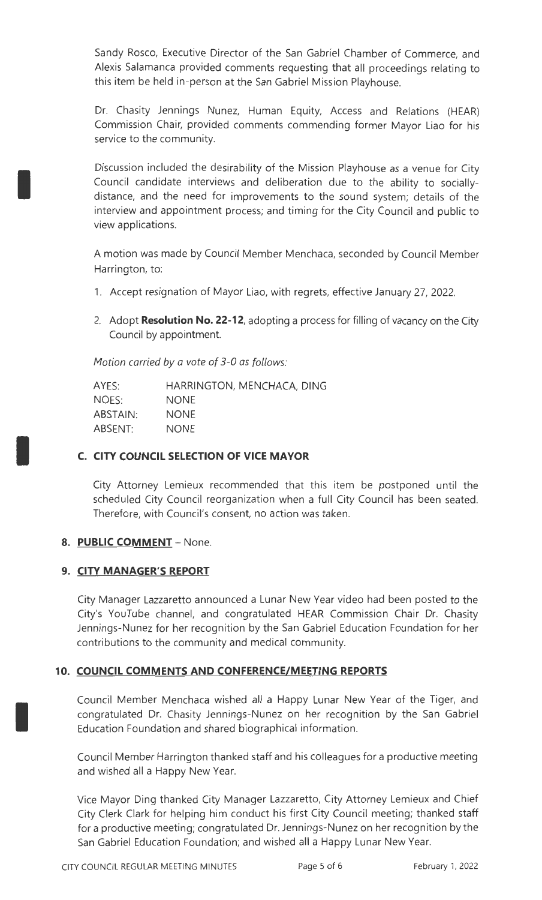Sandy Rosco, Executive Director of the San Gabriel Chamber of Commerce, and Alexis Salamanca provided comments requesting that all proceedings relating to this item be held in-person at the San Gabriel Mission Playhouse.

Dr. Chasity Jennings Nunez, Human Equity, Access and Relations (HEAR) Commission Chair, provided comments commending former Mayor Liao for his service to the community.

Discussion included the desirability of the Mission Playhouse as a venue for City Council candidate interviews and deliberation due to the ability to sociallydistance, and the need for improvements to the sound system; details of the interview and appointment process; and timing for the City Council and public to view applications.

A motion was made by Council Member Menchaca, seconded by Council Member Harrington, to:

- 1. Accept resignation of Mayor Liao, with regrets, effective January 27, 2022.
- 2. Adopt **Resolution No. 22-12,** adopting a process for filling of vacancy on the City Council by appointment.

Motion carried by a vote of 3-0 as follows:

| AYES:    | HARRINGTON, MENCHACA, DING |
|----------|----------------------------|
| NOES:    | <b>NONE</b>                |
| ABSTAIN: | <b>NONE</b>                |
| ABSENT:  | <b>NONE</b>                |

## **C. CITY COUNCIL SELECTION OF VICE MAYOR**

City Attorney Lemieux recommended that this item be postponed until the scheduled City Council reorganization when a full City Council has been seated. Therefore, with Council's consent, no action was taken.

## 8. PUBLIC COMMENT - None.

I

I

I

## **9. CITY MANAGER'S REPORT**

City Manager Lazzaretto announced a Lunar New Year video had been posted to the City's YouTube channel, and congratulated HEAR Commission Chair Dr. Chasity Jennings-Nunez for her recognition by the San Gabriel Education Foundation for her contributions to the community and medical community.

## **10. COUNCIL COMMENTS AND CONFERENCE/MEETING REPORTS**

Council Member Menchaca wished all a Happy Lunar New Year of the Tiger, and congratulated Dr. Chasity Jennings-Nunez on her recognition by the San Gabriel Education Foundation and shared biographical information.

Council Member Harrington thanked staff and his colleagues for a productive meeting and wished all a Happy New Year.

Vice Mayor Ding thanked City Manager Lazzaretto, City Attorney Lemieux and Chief City Clerk Clark for helping him conduct his first City Council meeting; thanked staff for a productive meeting; congratulated Dr. Jennings-Nunez on her recognition by the San Gabriel Education Foundation; and wished all a Happy Lunar New Year.